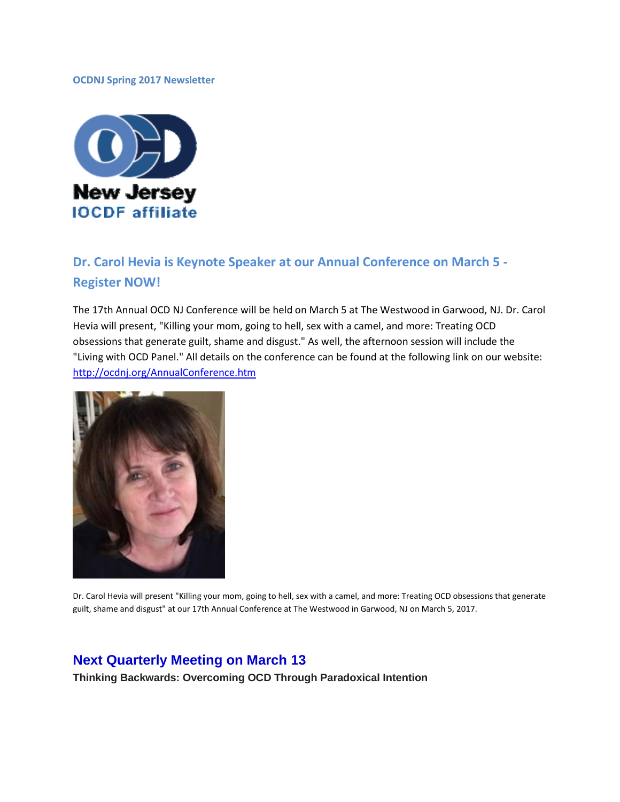### **OCDNJ Spring 2017 Newsletter**



# **Dr. Carol Hevia is Keynote Speaker at our Annual Conference on March 5 - Register NOW!**

The 17th Annual OCD NJ Conference will be held on March 5 at The Westwood in Garwood, NJ. Dr. Carol Hevia will present, "Killing your mom, going to hell, sex with a camel, and more: Treating OCD obsessions that generate guilt, shame and disgust." As well, the afternoon session will include the "Living with OCD Panel." All details on the conference can be found at the following link on our website: <http://ocdnj.org/AnnualConference.htm>



Dr. Carol Hevia will present "Killing your mom, going to hell, sex with a camel, and more: Treating OCD obsessions that generate guilt, shame and disgust" at our 17th Annual Conference at The Westwood in Garwood, NJ on March 5, 2017.

### **Next Quarterly Meeting on March 13**

**Thinking Backwards: Overcoming OCD Through Paradoxical Intention**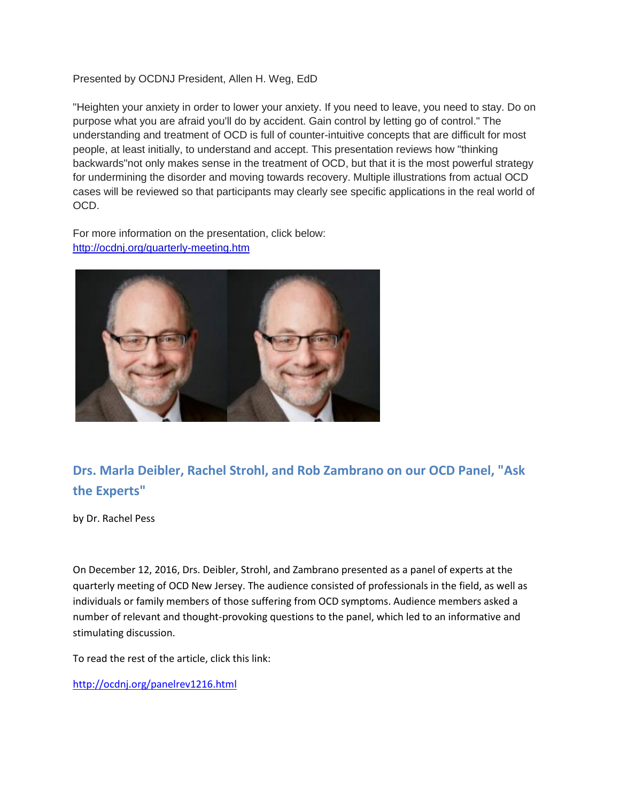### Presented by OCDNJ President, Allen H. Weg, EdD

"Heighten your anxiety in order to lower your anxiety. If you need to leave, you need to stay. Do on purpose what you are afraid you'll do by accident. Gain control by letting go of control." The understanding and treatment of OCD is full of counter-intuitive concepts that are difficult for most people, at least initially, to understand and accept. This presentation reviews how "thinking backwards"not only makes sense in the treatment of OCD, but that it is the most powerful strategy for undermining the disorder and moving towards recovery. Multiple illustrations from actual OCD cases will be reviewed so that participants may clearly see specific applications in the real world of OCD.

For more information on the presentation, click below: <http://ocdnj.org/quarterly-meeting.htm>



## **Drs. Marla Deibler, Rachel Strohl, and Rob Zambrano on our OCD Panel, "Ask the Experts"**

by Dr. Rachel Pess

On December 12, 2016, Drs. Deibler, Strohl, and Zambrano presented as a panel of experts at the quarterly meeting of OCD New Jersey. The audience consisted of professionals in the field, as well as individuals or family members of those suffering from OCD symptoms. Audience members asked a number of relevant and thought-provoking questions to the panel, which led to an informative and stimulating discussion.

To read the rest of the article, click this link:

<http://ocdnj.org/panelrev1216.html>